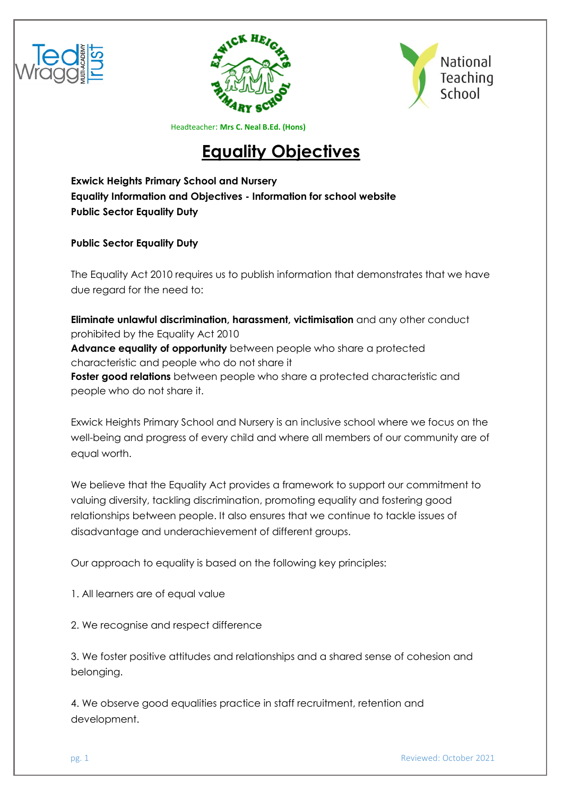





# **[Equality Objectives](https://www.ridgewayprimaryschool.org.uk/about_our_school/equality_objectives/)**

**Exwick Heights Primary School and Nursery Equality Information and Objectives - Information for school website Public Sector Equality Duty** 

**Public Sector Equality Duty**

The Equality Act 2010 requires us to publish information that demonstrates that we have due regard for the need to:

 **Eliminate unlawful discrimination, harassment, victimisation** and any other conduct prohibited by the Equality Act 2010 **Advance equality of opportunity** between people who share a protected characteristic and people who do not share it **Foster good relations** between people who share a protected characteristic and people who do not share it.

Exwick Heights Primary School and Nursery is an inclusive school where we focus on the well-being and progress of every child and where all members of our community are of equal worth.

We believe that the Equality Act provides a framework to support our commitment to valuing diversity, tackling discrimination, promoting equality and fostering good relationships between people. It also ensures that we continue to tackle issues of disadvantage and underachievement of different groups.

Our approach to equality is based on the following key principles:

1. All learners are of equal value

2. We recognise and respect difference

3. We foster positive attitudes and relationships and a shared sense of cohesion and belonging.

4. We observe good equalities practice in staff recruitment, retention and development.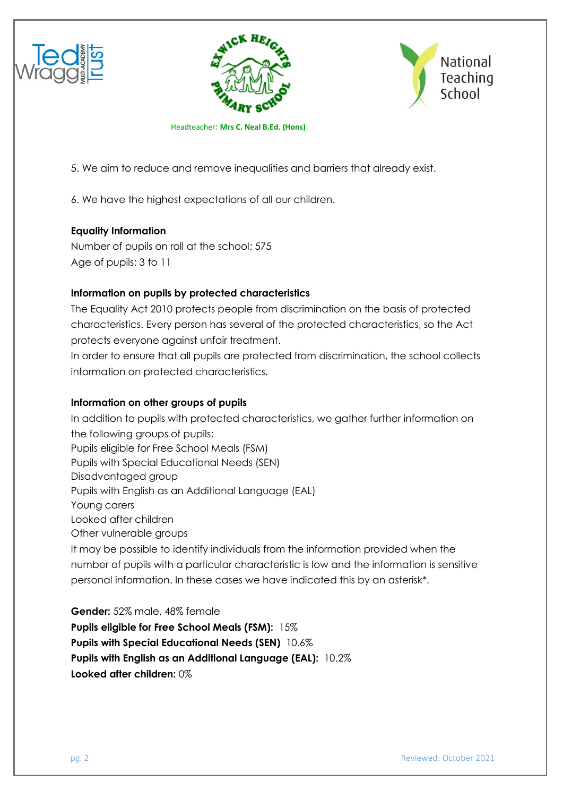





5. We aim to reduce and remove inequalities and barriers that already exist.

6. We have the highest expectations of all our children.

# **Equality Information**

Number of pupils on roll at the school: 575 Age of pupils: 3 to 11

# **Information on pupils by protected characteristics**

The Equality Act 2010 protects people from discrimination on the basis of protected characteristics. Every person has several of the protected characteristics, so the Act protects everyone against unfair treatment.

In order to ensure that all pupils are protected from discrimination, the school collects information on protected characteristics.

### **Information on other groups of pupils**

In addition to pupils with protected characteristics, we gather further information on the following groups of pupils: Pupils eligible for Free School Meals (FSM) Pupils with Special Educational Needs (SEN) Disadvantaged group Pupils with English as an Additional Language (EAL) Young carers Looked after children Other vulnerable groups It may be possible to identify individuals from the information provided when the number of pupils with a particular characteristic is low and the information is sensitive personal information. In these cases we have indicated this by an asterisk\*.

**Gender:** 52% male, 48% female **Pupils eligible for Free School Meals (FSM):** 15% **Pupils with Special Educational Needs (SEN)** 10.6% **Pupils with English as an Additional Language (EAL):** 10.2% **Looked after children:** 0%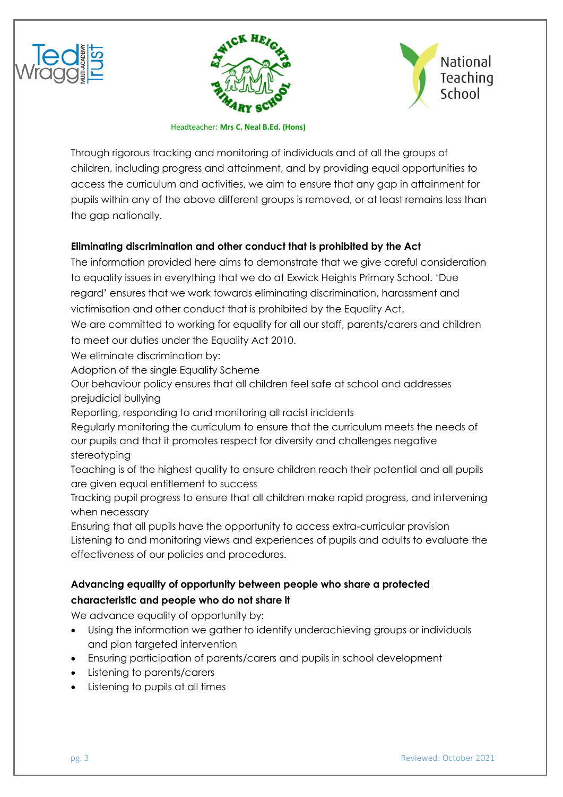





Through rigorous tracking and monitoring of individuals and of all the groups of children, including progress and attainment, and by providing equal opportunities to access the curriculum and activities, we aim to ensure that any gap in attainment for pupils within any of the above different groups is removed, or at least remains less than the gap nationally.

# **Eliminating discrimination and other conduct that is prohibited by the Act**

The information provided here aims to demonstrate that we give careful consideration to equality issues in everything that we do at Exwick Heights Primary School. 'Due regard' ensures that we work towards eliminating discrimination, harassment and victimisation and other conduct that is prohibited by the Equality Act. We are committed to working for equality for all our staff, parents/carers and children to meet our duties under the Equality Act 2010.

We eliminate discrimination by:

Adoption of the single Equality Scheme

 Our behaviour policy ensures that all children feel safe at school and addresses prejudicial bullying

Reporting, responding to and monitoring all racist incidents

 Regularly monitoring the curriculum to ensure that the curriculum meets the needs of our pupils and that it promotes respect for diversity and challenges negative stereotyping

 Teaching is of the highest quality to ensure children reach their potential and all pupils are given equal entitlement to success

 Tracking pupil progress to ensure that all children make rapid progress, and intervening when necessary

 Ensuring that all pupils have the opportunity to access extra-curricular provision Listening to and monitoring views and experiences of pupils and adults to evaluate the effectiveness of our policies and procedures.

# **Advancing equality of opportunity between people who share a protected characteristic and people who do not share it**

We advance equality of opportunity by:

- Using the information we gather to identify underachieving groups or individuals and plan targeted intervention
- Ensuring participation of parents/carers and pupils in school development
- Listening to parents/carers
- Listening to pupils at all times